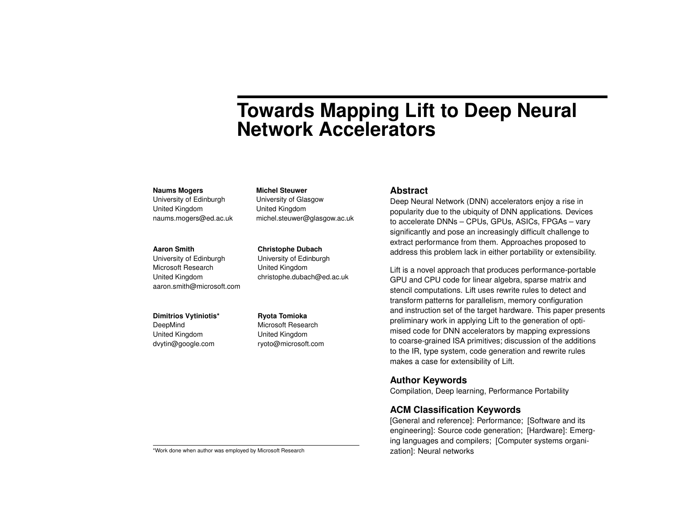# **Towards Mapping Lift to Deep Neural Network Accelerators**

#### **Naums Mogers**

University of Edinburgh United Kingdom naums.mogers@ed.ac.uk

#### **Aaron Smith**

University of Edinburgh Microsoft Research United Kingdom aaron.smith@microsoft.com

#### **Dimitrios Vytiniotis\***

DeepMind United Kingdom dvytin@google.com **Ryota Tomioka** Microsoft Research United Kingdom ryoto@microsoft.com

**Christophe Dubach** University of Edinburgh United Kingdom

**Michel Steuwer** University of Glasgow United Kingdom

michel.steuwer@glasgow.ac.uk

christophe.dubach@ed.ac.uk

#### **Abstract**

Deep Neural Network (DNN) accelerators enjoy a rise in popularity due to the ubiquity of DNN applications. Devices to accelerate DNNs – CPUs, GPUs, ASICs, FPGAs – vary significantly and pose an increasingly difficult challenge to extract performance from them. Approaches proposed to address this problem lack in either portability or extensibility.

Lift is a novel approach that produces performance-portable GPU and CPU code for linear algebra, sparse matrix and stencil computations. Lift uses rewrite rules to detect and transform patterns for parallelism, memory configuration and instruction set of the target hardware. This paper presents preliminary work in applying Lift to the generation of optimised code for DNN accelerators by mapping expressions to coarse-grained ISA primitives; discussion of the additions to the IR, type system, code generation and rewrite rules makes a case for extensibility of Lift.

# **Author Keywords**

Compilation, Deep learning, Performance Portability

# **ACM Classification Keywords**

[General and reference]: Performance; [Software and its engineering]: Source code generation; [Hardware]: Emerging languages and compilers; [Computer systems organization]: Neural networks

\*Work done when author was employed by Microsoft Research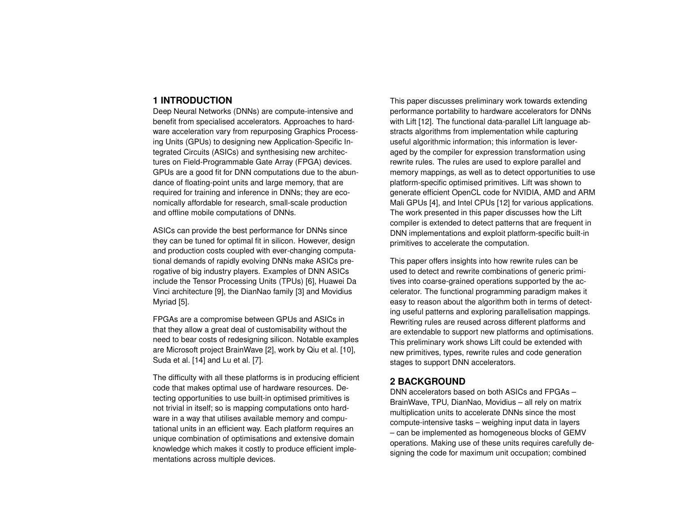## **1 INTRODUCTION**

Deep Neural Networks (DNNs) are compute-intensive and benefit from specialised accelerators. Approaches to hardware acceleration vary from repurposing Graphics Processing Units (GPUs) to designing new Application-Specific Integrated Circuits (ASICs) and synthesising new architectures on Field-Programmable Gate Array (FPGA) devices. GPUs are a good fit for DNN computations due to the abundance of floating-point units and large memory, that are required for training and inference in DNNs; they are economically affordable for research, small-scale production and offline mobile computations of DNNs.

ASICs can provide the best performance for DNNs since they can be tuned for optimal fit in silicon. However, design and production costs coupled with ever-changing computational demands of rapidly evolving DNNs make ASICs prerogative of big industry players. Examples of DNN ASICs include the Tensor Processing Units (TPUs) [\[6\]](#page-6-0), Huawei Da Vinci architecture [\[9\]](#page-6-1), the DianNao family [\[3\]](#page-6-2) and Movidius Myriad [\[5\]](#page-6-3).

FPGAs are a compromise between GPUs and ASICs in that they allow a great deal of customisability without the need to bear costs of redesigning silicon. Notable examples are Microsoft project BrainWave [\[2\]](#page-6-4), work by Qiu et al. [\[10\]](#page-6-5), Suda et al. [\[14\]](#page-7-0) and Lu et al. [\[7\]](#page-6-6).

The difficulty with all these platforms is in producing efficient code that makes optimal use of hardware resources. Detecting opportunities to use built-in optimised primitives is not trivial in itself; so is mapping computations onto hardware in a way that utilises available memory and computational units in an efficient way. Each platform requires an unique combination of optimisations and extensive domain knowledge which makes it costly to produce efficient implementations across multiple devices.

This paper discusses preliminary work towards extending performance portability to hardware accelerators for DNNs with Lift [\[12\]](#page-6-7). The functional data-parallel Lift language abstracts algorithms from implementation while capturing useful algorithmic information; this information is leveraged by the compiler for expression transformation using rewrite rules. The rules are used to explore parallel and memory mappings, as well as to detect opportunities to use platform-specific optimised primitives. Lift was shown to generate efficient OpenCL code for NVIDIA, AMD and ARM Mali GPUs [\[4\]](#page-6-8), and Intel CPUs [\[12\]](#page-6-7) for various applications. The work presented in this paper discusses how the Lift compiler is extended to detect patterns that are frequent in DNN implementations and exploit platform-specific built-in primitives to accelerate the computation.

This paper offers insights into how rewrite rules can be used to detect and rewrite combinations of generic primitives into coarse-grained operations supported by the accelerator. The functional programming paradigm makes it easy to reason about the algorithm both in terms of detecting useful patterns and exploring parallelisation mappings. Rewriting rules are reused across different platforms and are extendable to support new platforms and optimisations. This preliminary work shows Lift could be extended with new primitives, types, rewrite rules and code generation stages to support DNN accelerators.

## **2 BACKGROUND**

DNN accelerators based on both ASICs and FPGAs – BrainWave, TPU, DianNao, Movidius – all rely on matrix multiplication units to accelerate DNNs since the most compute-intensive tasks – weighing input data in layers – can be implemented as homogeneous blocks of GEMV operations. Making use of these units requires carefully designing the code for maximum unit occupation; combined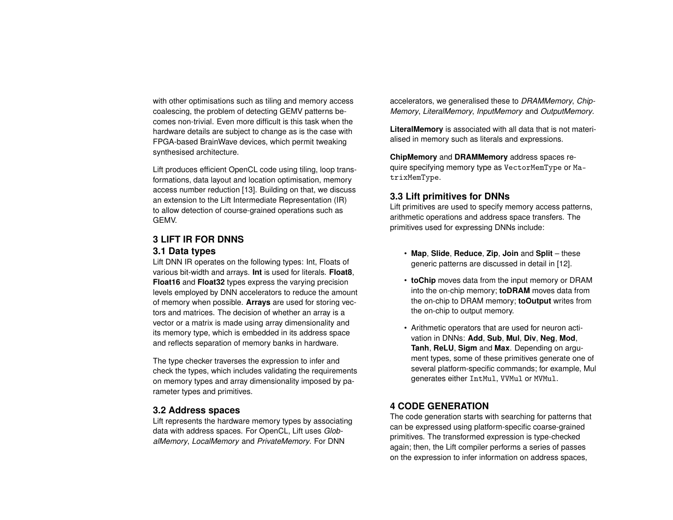with other optimisations such as tiling and memory access coalescing, the problem of detecting GEMV patterns becomes non-trivial. Even more difficult is this task when the hardware details are subject to change as is the case with FPGA-based BrainWave devices, which permit tweaking synthesised architecture.

Lift produces efficient OpenCL code using tiling, loop transformations, data layout and location optimisation, memory access number reduction [\[13\]](#page-7-1). Building on that, we discuss an extension to the Lift Intermediate Representation (IR) to allow detection of course-grained operations such as GEMV.

## **3 LIFT IR FOR DNNS**

#### **3.1 Data types**

Lift DNN IR operates on the following types: Int, Floats of various bit-width and arrays. **Int** is used for literals. **Float8**, **Float16** and **Float32** types express the varying precision levels employed by DNN accelerators to reduce the amount of memory when possible. **Arrays** are used for storing vectors and matrices. The decision of whether an array is a vector or a matrix is made using array dimensionality and its memory type, which is embedded in its address space and reflects separation of memory banks in hardware.

The type checker traverses the expression to infer and check the types, which includes validating the requirements on memory types and array dimensionality imposed by parameter types and primitives.

#### **3.2 Address spaces**

Lift represents the hardware memory types by associating data with address spaces. For OpenCL, Lift uses *GlobalMemory*, *LocalMemory* and *PrivateMemory*. For DNN

accelerators, we generalised these to *DRAMMemory*, *Chip-Memory*, *LiteralMemory*, *InputMemory* and *OutputMemory*.

**LiteralMemory** is associated with all data that is not materialised in memory such as literals and expressions.

**ChipMemory** and **DRAMMemory** address spaces require specifying memory type as VectorMemType or MatrixMemType.

# **3.3 Lift primitives for DNNs**

Lift primitives are used to specify memory access patterns, arithmetic operations and address space transfers. The primitives used for expressing DNNs include:

- **Map**, **Slide**, **Reduce**, **Zip**, **Join** and **Split** these generic patterns are discussed in detail in [\[12\]](#page-6-7).
- **toChip** moves data from the input memory or DRAM into the on-chip memory; **toDRAM** moves data from the on-chip to DRAM memory; **toOutput** writes from the on-chip to output memory.
- Arithmetic operators that are used for neuron activation in DNNs: **Add**, **Sub**, **Mul**, **Div**, **Neg**, **Mod**, **Tanh**, **ReLU**, **Sigm** and **Max**. Depending on argument types, some of these primitives generate one of several platform-specific commands; for example, Mul generates either IntMul, VVMul or MVMul.

# **4 CODE GENERATION**

The code generation starts with searching for patterns that can be expressed using platform-specific coarse-grained primitives. The transformed expression is type-checked again; then, the Lift compiler performs a series of passes on the expression to infer information on address spaces,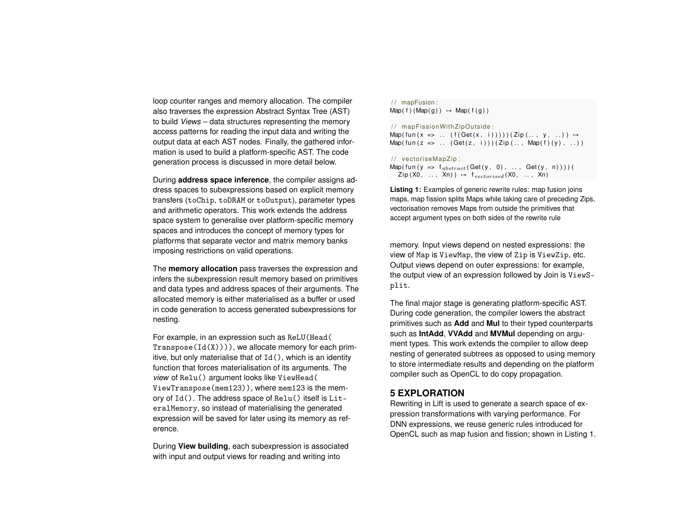loop counter ranges and memory allocation. The compiler also traverses the expression Abstract Syntax Tree (AST) to build *Views* – data structures representing the memory access patterns for reading the input data and writing the output data at each AST nodes. Finally, the gathered information is used to build a platform-specific AST. The code generation process is discussed in more detail below.

During **address space inference**, the compiler assigns address spaces to subexpressions based on explicit memory transfers (toChip, toDRAM or toOutput), parameter types and arithmetic operators. This work extends the address space system to generalise over platform-specific memory spaces and introduces the concept of memory types for platforms that separate vector and matrix memory banks imposing restrictions on valid operations.

The **memory allocation** pass traverses the expression and infers the subexpression result memory based on primitives and data types and address spaces of their arguments. The allocated memory is either materialised as a buffer or used in code generation to access generated subexpressions for nesting.

For example, in an expression such as ReLU(Head( Transpose( $Id(X)$ ))), we allocate memory for each primitive, but only materialise that of  $Id()$ , which is an identity function that forces materialisation of its arguments. The *view* of Relu() argument looks like ViewHead( ViewTranspose(mem123)), where mem123 is the memory of Id(). The address space of Relu() itself is LiteralMemory, so instead of materialising the generated expression will be saved for later using its memory as reference.

During **View building**, each subexpression is associated with input and output views for reading and writing into

#### <span id="page-3-0"></span>/ / mapFusion :  $Map(f)(Map(g)) \mapsto Map(f(g))$

#### / / mapFissionWithZipOutside :

 $Map(fun(x => ... (f(Get(x, i)))))(Zip(..., y, ...) ) \mapsto$  $Map(fun ( z =& , ... (Get(z, i)))(Zip (... , Map(f)(y), ...))$ 

#### // vectoriseMapZip:

Map(fun ( $y =$   $\frac{1}{s} \int_{abstract} (Get(y, 0), ..., Get(y, n)))$ )  $\mathsf{Zip}\left( \mathsf{X0}_{1}, \ldots, \mathsf{Xn} \right) \rightarrow f_{vectorised}(\mathsf{X0}_{1}, \ldots, \mathsf{Xn})$ 

**Listing 1:** Examples of generic rewrite rules: map fusion joins maps, map fission splits Maps while taking care of preceding Zips, vectorisation removes Maps from outside the primitives that accept argument types on both sides of the rewrite rule

memory. Input views depend on nested expressions: the view of Map is ViewMap, the view of Zip is ViewZip, etc. Output views depend on outer expressions: for example, the output view of an expression followed by Join is ViewSplit.

The final major stage is generating platform-specific AST. During code generation, the compiler lowers the abstract primitives such as **Add** and **Mul** to their typed counterparts such as **IntAdd**, **VVAdd** and **MVMul** depending on argument types. This work extends the compiler to allow deep nesting of generated subtrees as opposed to using memory to store intermediate results and depending on the platform compiler such as OpenCL to do copy propagation.

## **5 EXPLORATION**

Rewriting in Lift is used to generate a search space of expression transformations with varying performance. For DNN expressions, we reuse generic rules introduced for OpenCL such as map fusion and fission; shown in Listing [1.](#page-3-0)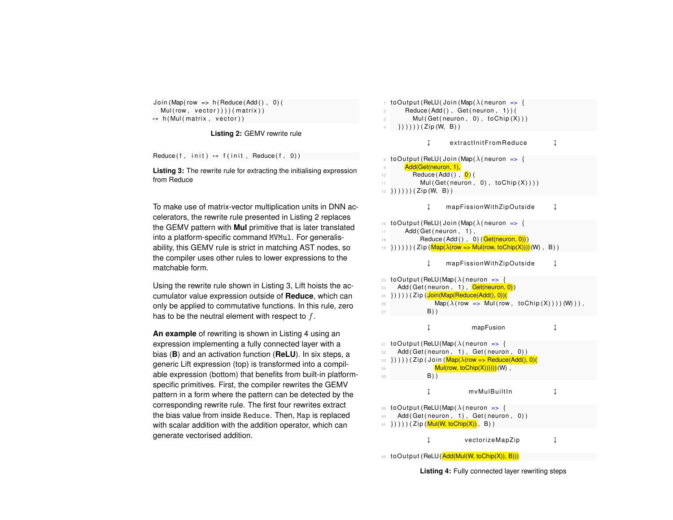```
Join (Map (row => h (Reduce (Add (), 0) (
  Mul(row, vector))) ( matrix ) )
\mapsto h(Mul(matrix, vector))
```
**Listing 2:** GEMV rewrite rule

<span id="page-4-1"></span>Reduce  $(f, \text{init}) \mapsto f(\text{init}, \text{Reduce}(f, 0))$ 

**Listing 3:** The rewrite rule for extracting the initialising expression from Reduce

To make use of matrix-vector multiplication units in DNN accelerators, the rewrite rule presented in Listing [2](#page-4-0) replaces the GEMV pattern with **Mul** primitive that is later translated into a platform-specific command MVMul. For generalisability, this GEMV rule is strict in matching AST nodes, so the compiler uses other rules to lower expressions to the matchable form.

Using the rewrite rule shown in Listing [3,](#page-4-1) Lift hoists the accumulator value expression outside of **Reduce**, which can only be applied to commutative functions. In this rule, zero has to be the neutral element with respect to  $f$ .

**An example** of rewriting is shown in Listing [4](#page-4-2) using an expression implementing a fully connected layer with a bias (**B**) and an activation function (**ReLU**). In six steps, a generic Lift expression (top) is transformed into a compilable expression (bottom) that benefits from built-in platformspecific primitives. First, the compiler rewrites the GEMV pattern in a form where the pattern can be detected by the corresponding rewrite rule. The first four rewrites extract the bias value from inside Reduce. Then, Map is replaced with scalar addition with the addition operator, which can generate vectorised addition.

<span id="page-4-2"></span>

| toOutput (ReLU(Join (Map( $\lambda$ (neuron => {<br>$\mathbf{1}$<br>Reduce(Add(), Get(neuron, 1))(<br>$\overline{c}$<br>Mul(Get(neuron, 0), toChip(X)))<br>3<br>$\{\) \) \)$ ) (Zip(W, B))<br>$\overline{4}$                         |   |
|--------------------------------------------------------------------------------------------------------------------------------------------------------------------------------------------------------------------------------------|---|
| Ţ<br>extractInitFromReduce                                                                                                                                                                                                           | Į |
| toOutput (ReLU (Join (Map ( $\lambda$ (neuron => {<br>8<br>Add(Get(neuron, 1),<br>9<br>Reduce $(Add() , 0)$<br>10<br>Mul(Get(neuron, 0), toChip(X))))<br>11<br>$\}) )) ) ) )$ ) (Zip(W, B) )<br>12                                   |   |
| mapFissionWithZipOutside<br>Ţ                                                                                                                                                                                                        | Į |
| toOutput (ReLU(Join (Map( $\lambda$ (neuron => {<br>16<br>Add (Get (neuron, 1),<br>17<br>Reduce (Add (), 0) (Get(neuron, 0)))<br>18<br>$\{\}) )) ) ) )$ (Zip (Map( $\lambda$ (row => Mul(row, toChip(X))))(W), B))<br>19             |   |
| I<br>mapFissionWithZipOutside                                                                                                                                                                                                        | Į |
| toOutput (ReLU(Map( $\lambda$ (neuron => {<br>23<br>Add (Get (neuron, 1), Get(neuron, 0))<br>24<br>25<br>Map( $\lambda$ (row => Mul(row, toChip(X))))(W))),<br>26<br>$B)$ )<br>27                                                    |   |
| Į<br>mapFusion                                                                                                                                                                                                                       | Į |
| toOutput (ReLU(Map( $\lambda$ (neuron => {<br>31<br>Add(Get(neuron, 1), Get(neuron, 0))<br>32<br>$\{ \}$ ))))(Zip(Join( $\mathsf{Map}(\lambda$ (row => Reduce(Add(), 0)(<br>33<br>Mul(row, toChip(X)))))) (W),<br>34<br>$B)$ )<br>35 |   |
| Ţ<br>mvMulBuiltIn                                                                                                                                                                                                                    | Ţ |
| toOutput (ReLU(Map( $\lambda$ (neuron => {<br>39<br>Add(Get(neuron, 1), Get(neuron, 0))<br>40<br>$\{ \}$ ))))(Zip(Mul(W, toChip(X)), B))<br>41                                                                                       |   |
| Į<br>vectorizeMapZip                                                                                                                                                                                                                 | Į |

45 toOutput (ReLU (Add(Mul(W, toChip(X)), B)))

**Listing 4:** Fully connected layer rewriting steps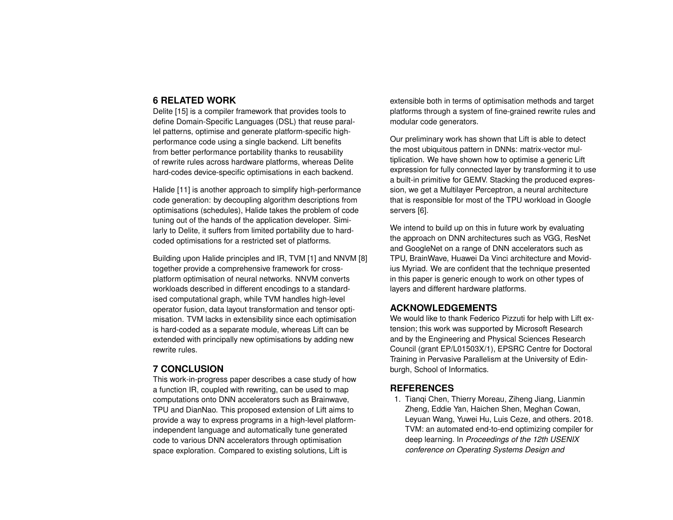## **6 RELATED WORK**

Delite [\[15\]](#page-7-2) is a compiler framework that provides tools to define Domain-Specific Languages (DSL) that reuse parallel patterns, optimise and generate platform-specific highperformance code using a single backend. Lift benefits from better performance portability thanks to reusability of rewrite rules across hardware platforms, whereas Delite hard-codes device-specific optimisations in each backend.

Halide [\[11\]](#page-6-9) is another approach to simplify high-performance code generation: by decoupling algorithm descriptions from optimisations (schedules), Halide takes the problem of code tuning out of the hands of the application developer. Similarly to Delite, it suffers from limited portability due to hardcoded optimisations for a restricted set of platforms.

Building upon Halide principles and IR, TVM [\[1\]](#page-5-0) and NNVM [\[8\]](#page-6-10) together provide a comprehensive framework for crossplatform optimisation of neural networks. NNVM converts workloads described in different encodings to a standardised computational graph, while TVM handles high-level operator fusion, data layout transformation and tensor optimisation. TVM lacks in extensibility since each optimisation is hard-coded as a separate module, whereas Lift can be extended with principally new optimisations by adding new rewrite rules.

# **7 CONCLUSION**

This work-in-progress paper describes a case study of how a function IR, coupled with rewriting, can be used to map computations onto DNN accelerators such as Brainwave, TPU and DianNao. This proposed extension of Lift aims to provide a way to express programs in a high-level platformindependent language and automatically tune generated code to various DNN accelerators through optimisation space exploration. Compared to existing solutions, Lift is

extensible both in terms of optimisation methods and target platforms through a system of fine-grained rewrite rules and modular code generators.

Our preliminary work has shown that Lift is able to detect the most ubiquitous pattern in DNNs: matrix-vector multiplication. We have shown how to optimise a generic Lift expression for fully connected layer by transforming it to use a built-in primitive for GEMV. Stacking the produced expression, we get a Multilayer Perceptron, a neural architecture that is responsible for most of the TPU workload in Google servers [\[6\]](#page-6-0).

We intend to build up on this in future work by evaluating the approach on DNN architectures such as VGG, ResNet and GoogleNet on a range of DNN accelerators such as TPU, BrainWave, Huawei Da Vinci architecture and Movidius Myriad. We are confident that the technique presented in this paper is generic enough to work on other types of layers and different hardware platforms.

# **ACKNOWLEDGEMENTS**

We would like to thank Federico Pizzuti for help with Lift extension; this work was supported by Microsoft Research and by the Engineering and Physical Sciences Research Council (grant EP/L01503X/1), EPSRC Centre for Doctoral Training in Pervasive Parallelism at the University of Edinburgh, School of Informatics.

## **REFERENCES**

<span id="page-5-0"></span>1. Tianqi Chen, Thierry Moreau, Ziheng Jiang, Lianmin Zheng, Eddie Yan, Haichen Shen, Meghan Cowan, Leyuan Wang, Yuwei Hu, Luis Ceze, and others. 2018. TVM: an automated end-to-end optimizing compiler for deep learning. In *Proceedings of the 12th USENIX conference on Operating Systems Design and*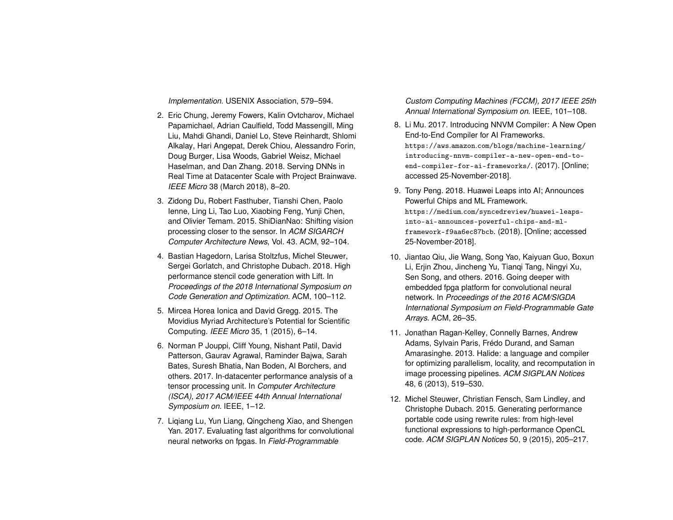*Implementation*. USENIX Association, 579–594.

- <span id="page-6-4"></span>2. Eric Chung, Jeremy Fowers, Kalin Ovtcharov, Michael Papamichael, Adrian Caulfield, Todd Massengill, Ming Liu, Mahdi Ghandi, Daniel Lo, Steve Reinhardt, Shlomi Alkalay, Hari Angepat, Derek Chiou, Alessandro Forin, Doug Burger, Lisa Woods, Gabriel Weisz, Michael Haselman, and Dan Zhang. 2018. Serving DNNs in Real Time at Datacenter Scale with Project Brainwave. *IEEE Micro* 38 (March 2018), 8–20.
- <span id="page-6-2"></span>3. Zidong Du, Robert Fasthuber, Tianshi Chen, Paolo Ienne, Ling Li, Tao Luo, Xiaobing Feng, Yunji Chen, and Olivier Temam. 2015. ShiDianNao: Shifting vision processing closer to the sensor. In *ACM SIGARCH Computer Architecture News*, Vol. 43. ACM, 92–104.
- <span id="page-6-8"></span>4. Bastian Hagedorn, Larisa Stoltzfus, Michel Steuwer, Sergei Gorlatch, and Christophe Dubach. 2018. High performance stencil code generation with Lift. In *Proceedings of the 2018 International Symposium on Code Generation and Optimization*. ACM, 100–112.
- <span id="page-6-3"></span>5. Mircea Horea Ionica and David Gregg. 2015. The Movidius Myriad Architecture's Potential for Scientific Computing. *IEEE Micro* 35, 1 (2015), 6–14.
- <span id="page-6-0"></span>6. Norman P Jouppi, Cliff Young, Nishant Patil, David Patterson, Gaurav Agrawal, Raminder Bajwa, Sarah Bates, Suresh Bhatia, Nan Boden, Al Borchers, and others. 2017. In-datacenter performance analysis of a tensor processing unit. In *Computer Architecture (ISCA), 2017 ACM/IEEE 44th Annual International Symposium on*. IEEE, 1–12.
- <span id="page-6-6"></span>7. Liqiang Lu, Yun Liang, Qingcheng Xiao, and Shengen Yan. 2017. Evaluating fast algorithms for convolutional neural networks on fpgas. In *Field-Programmable*

*Custom Computing Machines (FCCM), 2017 IEEE 25th Annual International Symposium on*. IEEE, 101–108.

- <span id="page-6-10"></span>8. Li Mu. 2017. Introducing NNVM Compiler: A New Open End-to-End Compiler for AI Frameworks. https://aws.amazon.[com/blogs/machine-learning/](https://aws.amazon.com/blogs/machine-learning/introducing-nnvm-compiler-a-new-open-end-to-end-compiler-for-ai-frameworks/) [introducing-nnvm-compiler-a-new-open-end-to](https://aws.amazon.com/blogs/machine-learning/introducing-nnvm-compiler-a-new-open-end-to-end-compiler-for-ai-frameworks/)[end-compiler-for-ai-frameworks/](https://aws.amazon.com/blogs/machine-learning/introducing-nnvm-compiler-a-new-open-end-to-end-compiler-for-ai-frameworks/). (2017). [Online; accessed 25-November-2018].
- <span id="page-6-1"></span>9. Tony Peng. 2018. Huawei Leaps into AI; Announces Powerful Chips and ML Framework. https://medium.[com/syncedreview/huawei-leaps](https://medium.com/syncedreview/huawei-leaps-into-ai-announces-powerful-chips-and-ml-framework-f9aa6ec87bcb)[into-ai-announces-powerful-chips-and-ml](https://medium.com/syncedreview/huawei-leaps-into-ai-announces-powerful-chips-and-ml-framework-f9aa6ec87bcb)[framework-f9aa6ec87bcb](https://medium.com/syncedreview/huawei-leaps-into-ai-announces-powerful-chips-and-ml-framework-f9aa6ec87bcb). (2018). [Online; accessed 25-November-2018].
- <span id="page-6-5"></span>10. Jiantao Qiu, Jie Wang, Song Yao, Kaiyuan Guo, Boxun Li, Erjin Zhou, Jincheng Yu, Tianqi Tang, Ningyi Xu, Sen Song, and others. 2016. Going deeper with embedded fpga platform for convolutional neural network. In *Proceedings of the 2016 ACM/SIGDA International Symposium on Field-Programmable Gate Arrays*. ACM, 26–35.
- <span id="page-6-9"></span>11. Jonathan Ragan-Kelley, Connelly Barnes, Andrew Adams, Sylvain Paris, Frédo Durand, and Saman Amarasinghe. 2013. Halide: a language and compiler for optimizing parallelism, locality, and recomputation in image processing pipelines. *ACM SIGPLAN Notices* 48, 6 (2013), 519–530.
- <span id="page-6-7"></span>12. Michel Steuwer, Christian Fensch, Sam Lindley, and Christophe Dubach. 2015. Generating performance portable code using rewrite rules: from high-level functional expressions to high-performance OpenCL code. *ACM SIGPLAN Notices* 50, 9 (2015), 205–217.